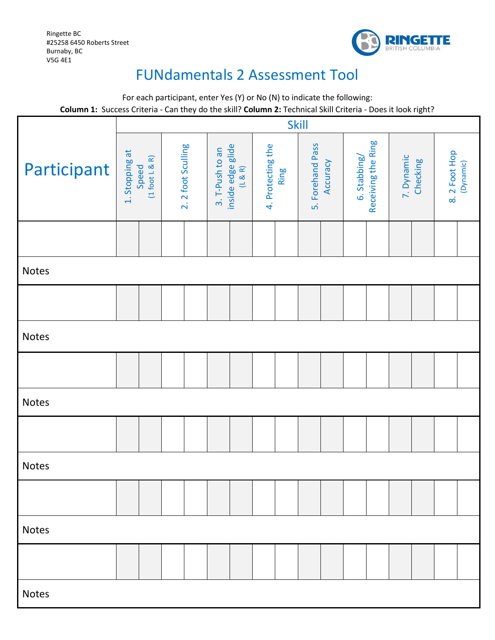Ringette BC #25258 6450 Roberts Street Burnaby, BC V5G 4E1



## FUNdamentals 2 Assessment Tool

For each participant, enter Yes (Y) or No (N) to indicate the following: **Column 1:** Success Criteria - Can they do the skill? **Column 2:** Technical Skill Criteria - Does it look right?

|              | <b>COMMITT.</b> Success Criteria - Can they do the skin: <b>Column 2.</b> Technical Skin Criteria - Does it look right:<br><b>Skill</b> |                   |                                                 |                           |                              |                                    |                        |                            |
|--------------|-----------------------------------------------------------------------------------------------------------------------------------------|-------------------|-------------------------------------------------|---------------------------|------------------------------|------------------------------------|------------------------|----------------------------|
| Participant  | 1. Stopping at<br>Speed<br>(1 foot L & R)                                                                                               | 2.2 foot Sculling | inside edge glide<br>(L & R)<br>3. T-Push to an | 4. Protecting the<br>Ring | 5. Forehand Pass<br>Accuracy | Receiving the Ring<br>6. Stabbing/ | 7. Dynamic<br>Checking | 8. 2 Foot Hop<br>(Dynamic) |
|              |                                                                                                                                         |                   |                                                 |                           |                              |                                    |                        |                            |
| Notes        |                                                                                                                                         |                   |                                                 |                           |                              |                                    |                        |                            |
|              |                                                                                                                                         |                   |                                                 |                           |                              |                                    |                        |                            |
| Notes        |                                                                                                                                         |                   |                                                 |                           |                              |                                    |                        |                            |
|              |                                                                                                                                         |                   |                                                 |                           |                              |                                    |                        |                            |
| Notes        |                                                                                                                                         |                   |                                                 |                           |                              |                                    |                        |                            |
|              |                                                                                                                                         |                   |                                                 |                           |                              |                                    |                        |                            |
| Notes        |                                                                                                                                         |                   |                                                 |                           |                              |                                    |                        |                            |
|              |                                                                                                                                         |                   |                                                 |                           |                              |                                    |                        |                            |
| <b>Notes</b> |                                                                                                                                         |                   |                                                 |                           |                              |                                    |                        |                            |
|              |                                                                                                                                         |                   |                                                 |                           |                              |                                    |                        |                            |
| <b>Notes</b> |                                                                                                                                         |                   |                                                 |                           |                              |                                    |                        |                            |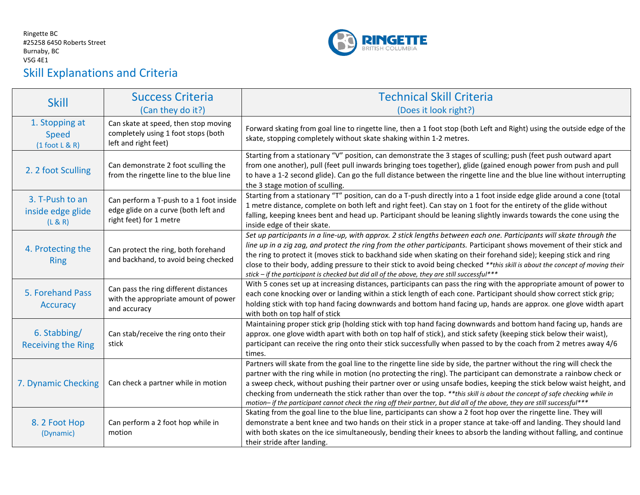## Ringette BC #25258 6450 Roberts Street Burnaby, BC V5G 4E1 Skill Explanations and Criteria



| <b>Skill</b>                                       | <b>Success Criteria</b>                                                                                    | <b>Technical Skill Criteria</b>                                                                                                                                                                                                                                                                                                                                                                                                                                                                                                                                                                                              |  |  |  |  |
|----------------------------------------------------|------------------------------------------------------------------------------------------------------------|------------------------------------------------------------------------------------------------------------------------------------------------------------------------------------------------------------------------------------------------------------------------------------------------------------------------------------------------------------------------------------------------------------------------------------------------------------------------------------------------------------------------------------------------------------------------------------------------------------------------------|--|--|--|--|
|                                                    | (Can they do it?)                                                                                          | (Does it look right?)                                                                                                                                                                                                                                                                                                                                                                                                                                                                                                                                                                                                        |  |  |  |  |
| 1. Stopping at<br><b>Speed</b><br>$(1$ foot L & R) | Can skate at speed, then stop moving<br>completely using 1 foot stops (both<br>left and right feet)        | Forward skating from goal line to ringette line, then a 1 foot stop (both Left and Right) using the outside edge of the<br>skate, stopping completely without skate shaking within 1-2 metres.                                                                                                                                                                                                                                                                                                                                                                                                                               |  |  |  |  |
| 2. 2 foot Sculling                                 | Can demonstrate 2 foot sculling the<br>from the ringette line to the blue line                             | Starting from a stationary "V" position, can demonstrate the 3 stages of sculling; push (feet push outward apart<br>from one another), pull (feet pull inwards bringing toes together), glide (gained enough power from push and pull<br>to have a 1-2 second glide). Can go the full distance between the ringette line and the blue line without interrupting<br>the 3 stage motion of sculling.                                                                                                                                                                                                                           |  |  |  |  |
| 3. T-Push to an<br>inside edge glide<br>(L & R)    | Can perform a T-push to a 1 foot inside<br>edge glide on a curve (both left and<br>right feet) for 1 metre | Starting from a stationary "T" position, can do a T-push directly into a 1 foot inside edge glide around a cone (total<br>1 metre distance, complete on both left and right feet). Can stay on 1 foot for the entirety of the glide without<br>falling, keeping knees bent and head up. Participant should be leaning slightly inwards towards the cone using the<br>inside edge of their skate.                                                                                                                                                                                                                             |  |  |  |  |
| 4. Protecting the<br><b>Ring</b>                   | Can protect the ring, both forehand<br>and backhand, to avoid being checked                                | Set up participants in a line-up, with approx. 2 stick lengths between each one. Participants will skate through the<br>line up in a zig zag, and protect the ring from the other participants. Participant shows movement of their stick and<br>the ring to protect it (moves stick to backhand side when skating on their forehand side); keeping stick and ring<br>close to their body, adding pressure to their stick to avoid being checked **this skill is about the concept of moving their<br>stick - if the participant is checked but did all of the above, they are still successful***                           |  |  |  |  |
| 5. Forehand Pass<br>Accuracy                       | Can pass the ring different distances<br>with the appropriate amount of power<br>and accuracy              | With 5 cones set up at increasing distances, participants can pass the ring with the appropriate amount of power to<br>each cone knocking over or landing within a stick length of each cone. Participant should show correct stick grip;<br>holding stick with top hand facing downwards and bottom hand facing up, hands are approx. one glove width apart<br>with both on top half of stick                                                                                                                                                                                                                               |  |  |  |  |
| 6. Stabbing/<br><b>Receiving the Ring</b>          | Can stab/receive the ring onto their<br>stick                                                              | Maintaining proper stick grip (holding stick with top hand facing downwards and bottom hand facing up, hands are<br>approx. one glove width apart with both on top half of stick), and stick safety (keeping stick below their waist),<br>participant can receive the ring onto their stick successfully when passed to by the coach from 2 metres away 4/6<br>times.                                                                                                                                                                                                                                                        |  |  |  |  |
| 7. Dynamic Checking                                | Can check a partner while in motion                                                                        | Partners will skate from the goal line to the ringette line side by side, the partner without the ring will check the<br>partner with the ring while in motion (no protecting the ring). The participant can demonstrate a rainbow check or<br>a sweep check, without pushing their partner over or using unsafe bodies, keeping the stick below waist height, and<br>checking from underneath the stick rather than over the top. **this skill is about the concept of safe checking while in<br>motion- if the participant cannot check the ring off their partner, but did all of the above, they are still successful*** |  |  |  |  |
| 8.2 Foot Hop<br>(Dynamic)                          | Can perform a 2 foot hop while in<br>motion                                                                | Skating from the goal line to the blue line, participants can show a 2 foot hop over the ringette line. They will<br>demonstrate a bent knee and two hands on their stick in a proper stance at take-off and landing. They should land<br>with both skates on the ice simultaneously, bending their knees to absorb the landing without falling, and continue<br>their stride after landing.                                                                                                                                                                                                                                 |  |  |  |  |